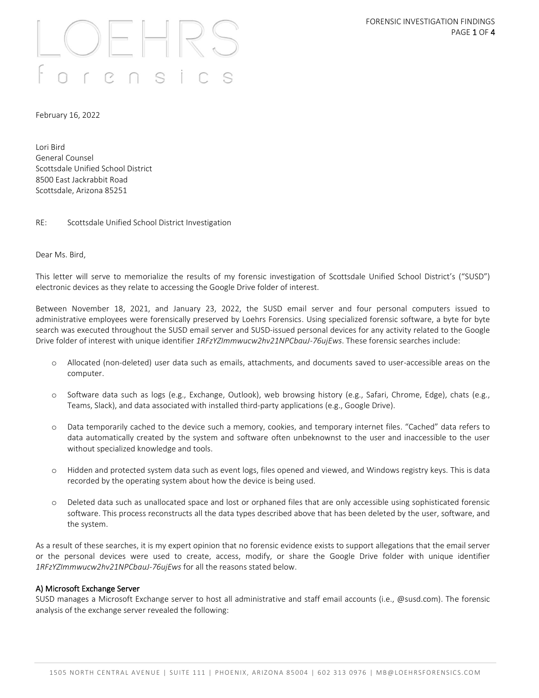# 

February 16, 2022

Lori Bird General Counsel Scottsdale Unified School District 8500 East Jackrabbit Road Scottsdale, Arizona 85251

RE: Scottsdale Unified School District Investigation

Dear Ms. Bird,

This letter will serve to memorialize the results of my forensic investigation of Scottsdale Unified School District's ("SUSD") electronic devices as they relate to accessing the Google Drive folder of interest.

Between November 18, 2021, and January 23, 2022, the SUSD email server and four personal computers issued to administrative employees were forensically preserved by Loehrs Forensics. Using specialized forensic software, a byte for byte search was executed throughout the SUSD email server and SUSD-issued personal devices for any activity related to the Google Drive folder of interest with unique identifier *1RFzYZImmwucw2hv21NPCbauJ-76ujEws*. These forensic searches include:

- o Allocated (non-deleted) user data such as emails, attachments, and documents saved to user-accessible areas on the computer.
- o Software data such as logs (e.g., Exchange, Outlook), web browsing history (e.g., Safari, Chrome, Edge), chats (e.g., Teams, Slack), and data associated with installed third-party applications (e.g., Google Drive).
- o Data temporarily cached to the device such a memory, cookies, and temporary internet files. "Cached" data refers to data automatically created by the system and software often unbeknownst to the user and inaccessible to the user without specialized knowledge and tools.
- o Hidden and protected system data such as event logs, files opened and viewed, and Windows registry keys. This is data recorded by the operating system about how the device is being used.
- o Deleted data such as unallocated space and lost or orphaned files that are only accessible using sophisticated forensic software. This process reconstructs all the data types described above that has been deleted by the user, software, and the system.

As a result of these searches, it is my expert opinion that no forensic evidence exists to support allegations that the email server or the personal devices were used to create, access, modify, or share the Google Drive folder with unique identifier *1RFzYZImmwucw2hv21NPCbauJ-76ujEws* for all the reasons stated below.

#### A) Microsoft Exchange Server

SUSD manages a Microsoft Exchange server to host all administrative and staff email accounts (i.e., @susd.com). The forensic analysis of the exchange server revealed the following: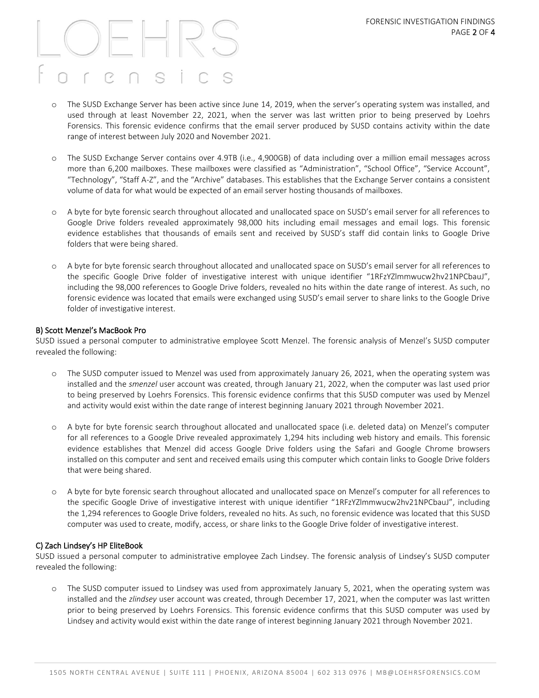## $P \cap$ C.

- o The SUSD Exchange Server has been active since June 14, 2019, when the server's operating system was installed, and used through at least November 22, 2021, when the server was last written prior to being preserved by Loehrs Forensics. This forensic evidence confirms that the email server produced by SUSD contains activity within the date range of interest between July 2020 and November 2021.
- o The SUSD Exchange Server contains over 4.9TB (i.e., 4,900GB) of data including over a million email messages across more than 6,200 mailboxes. These mailboxes were classified as "Administration", "School Office", "Service Account", "Technology", "Staff A-Z", and the "Archive" databases. This establishes that the Exchange Server contains a consistent volume of data for what would be expected of an email server hosting thousands of mailboxes.
- o A byte for byte forensic search throughout allocated and unallocated space on SUSD's email server for all references to Google Drive folders revealed approximately 98,000 hits including email messages and email logs. This forensic evidence establishes that thousands of emails sent and received by SUSD's staff did contain links to Google Drive folders that were being shared.
- o A byte for byte forensic search throughout allocated and unallocated space on SUSD's email server for all references to the specific Google Drive folder of investigative interest with unique identifier "1RFzYZlmmwucw2hv21NPCbauJ", including the 98,000 references to Google Drive folders, revealed no hits within the date range of interest. As such, no forensic evidence was located that emails were exchanged using SUSD's email server to share links to the Google Drive folder of investigative interest.

#### B) Scott Menzel's MacBook Pro

SUSD issued a personal computer to administrative employee Scott Menzel. The forensic analysis of Menzel's SUSD computer revealed the following:

- o The SUSD computer issued to Menzel was used from approximately January 26, 2021, when the operating system was installed and the *smenzel* user account was created, through January 21, 2022, when the computer was last used prior to being preserved by Loehrs Forensics. This forensic evidence confirms that this SUSD computer was used by Menzel and activity would exist within the date range of interest beginning January 2021 through November 2021.
- o A byte for byte forensic search throughout allocated and unallocated space (i.e. deleted data) on Menzel's computer for all references to a Google Drive revealed approximately 1,294 hits including web history and emails. This forensic evidence establishes that Menzel did access Google Drive folders using the Safari and Google Chrome browsers installed on this computer and sent and received emails using this computer which contain links to Google Drive folders that were being shared.
- o A byte for byte forensic search throughout allocated and unallocated space on Menzel's computer for all references to the specific Google Drive of investigative interest with unique identifier "1RFzYZlmmwucw2hv21NPCbauJ", including the 1,294 references to Google Drive folders, revealed no hits. As such, no forensic evidence was located that this SUSD computer was used to create, modify, access, or share links to the Google Drive folder of investigative interest.

#### C) Zach Lindsey's HP EliteBook

SUSD issued a personal computer to administrative employee Zach Lindsey. The forensic analysis of Lindsey's SUSD computer revealed the following:

o The SUSD computer issued to Lindsey was used from approximately January 5, 2021, when the operating system was installed and the *zlindsey* user account was created, through December 17, 2021, when the computer was last written prior to being preserved by Loehrs Forensics. This forensic evidence confirms that this SUSD computer was used by Lindsey and activity would exist within the date range of interest beginning January 2021 through November 2021.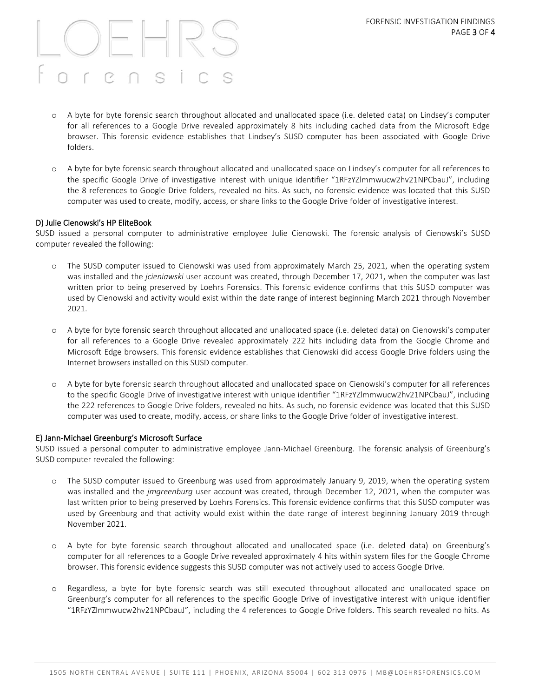## $\mathbb{R} \cap$ C.

- o A byte for byte forensic search throughout allocated and unallocated space (i.e. deleted data) on Lindsey's computer for all references to a Google Drive revealed approximately 8 hits including cached data from the Microsoft Edge browser. This forensic evidence establishes that Lindsey's SUSD computer has been associated with Google Drive folders.
- o A byte for byte forensic search throughout allocated and unallocated space on Lindsey's computer for all references to the specific Google Drive of investigative interest with unique identifier "1RFzYZlmmwucw2hv21NPCbauJ", including the 8 references to Google Drive folders, revealed no hits. As such, no forensic evidence was located that this SUSD computer was used to create, modify, access, or share links to the Google Drive folder of investigative interest.

#### D) Julie Cienowski's HP EliteBook

SUSD issued a personal computer to administrative employee Julie Cienowski. The forensic analysis of Cienowski's SUSD computer revealed the following:

- o The SUSD computer issued to Cienowski was used from approximately March 25, 2021, when the operating system was installed and the *jcieniawski* user account was created, through December 17, 2021, when the computer was last written prior to being preserved by Loehrs Forensics. This forensic evidence confirms that this SUSD computer was used by Cienowski and activity would exist within the date range of interest beginning March 2021 through November 2021.
- o A byte for byte forensic search throughout allocated and unallocated space (i.e. deleted data) on Cienowski's computer for all references to a Google Drive revealed approximately 222 hits including data from the Google Chrome and Microsoft Edge browsers. This forensic evidence establishes that Cienowski did access Google Drive folders using the Internet browsers installed on this SUSD computer.
- o A byte for byte forensic search throughout allocated and unallocated space on Cienowski's computer for all references to the specific Google Drive of investigative interest with unique identifier "1RFzYZlmmwucw2hv21NPCbauJ", including the 222 references to Google Drive folders, revealed no hits. As such, no forensic evidence was located that this SUSD computer was used to create, modify, access, or share links to the Google Drive folder of investigative interest.

#### E) Jann-Michael Greenburg's Microsoft Surface

SUSD issued a personal computer to administrative employee Jann-Michael Greenburg. The forensic analysis of Greenburg's SUSD computer revealed the following:

- o The SUSD computer issued to Greenburg was used from approximately January 9, 2019, when the operating system was installed and the *jmgreenburg* user account was created, through December 12, 2021, when the computer was last written prior to being preserved by Loehrs Forensics. This forensic evidence confirms that this SUSD computer was used by Greenburg and that activity would exist within the date range of interest beginning January 2019 through November 2021.
- o A byte for byte forensic search throughout allocated and unallocated space (i.e. deleted data) on Greenburg's computer for all references to a Google Drive revealed approximately 4 hits within system files for the Google Chrome browser. This forensic evidence suggests this SUSD computer was not actively used to access Google Drive.
- o Regardless, a byte for byte forensic search was still executed throughout allocated and unallocated space on Greenburg's computer for all references to the specific Google Drive of investigative interest with unique identifier "1RFzYZlmmwucw2hv21NPCbauJ", including the 4 references to Google Drive folders. This search revealed no hits. As